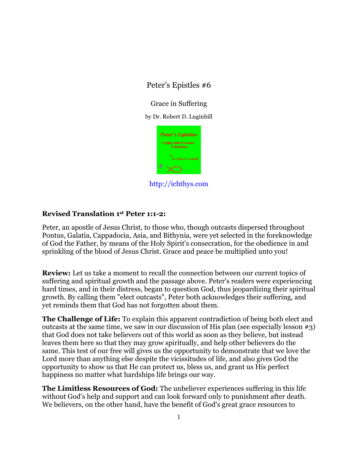# Peter's Epistles #6

Grace in Suffering

by Dr. Robert D. Luginbill



http://ichthys.com

## **Revised Translation 1st Peter 1:1-2:**

Peter, an apostle of Jesus Christ, to those who, though outcasts dispersed throughout Pontus, Galatia, Cappadocia, Asia, and Bithynia, were yet selected in the foreknowledge of God the Father, by means of the Holy Spirit's consecration, for the obedience in and sprinkling of the blood of Jesus Christ. Grace and peace be multiplied unto you!

**Review:** Let us take a moment to recall the connection between our current topics of suffering and spiritual growth and the passage above. Peter's readers were experiencing hard times, and in their distress, began to question God, thus jeopardizing their spiritual growth. By calling them "elect outcasts", Peter both acknowledges their suffering, and yet reminds them that God has not forgotten about them.

**The Challenge of Life:** To explain this apparent contradiction of being both elect and outcasts at the same time, we saw in our discussion of His plan (see especially lesson #3) that God does not take believers out of this world as soon as they believe, but instead leaves them here so that they may grow spiritually, and help other believers do the same. This test of our free will gives us the opportunity to demonstrate that we love the Lord more than anything else despite the vicissitudes of life, and also gives God the opportunity to show us that He can protect us, bless us, and grant us His perfect happiness no matter what hardships life brings our way.

**The Limitless Resources of God:** The unbeliever experiences suffering in this life without God's help and support and can look forward only to punishment after death. We believers, on the other hand, have the benefit of God's great grace resources to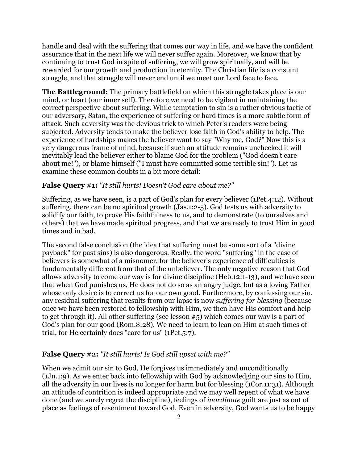handle and deal with the suffering that comes our way in life, and we have the confident assurance that in the next life we will never suffer again. Moreover, we know that by continuing to trust God in spite of suffering, we will grow spiritually, and will be rewarded for our growth and production in eternity. The Christian life is a constant struggle, and that struggle will never end until we meet our Lord face to face.

**The Battleground:** The primary battlefield on which this struggle takes place is our mind, or heart (our inner self). Therefore we need to be vigilant in maintaining the correct perspective about suffering. While temptation to sin is a rather obvious tactic of our adversary, Satan, the experience of suffering or hard times is a more subtle form of attack. Such adversity was the devious trick to which Peter's readers were being subjected. Adversity tends to make the believer lose faith in God's ability to help. The experience of hardships makes the believer want to say "Why me, God?" Now this is a very dangerous frame of mind, because if such an attitude remains unchecked it will inevitably lead the believer either to blame God for the problem ("God doesn't care about me!"), or blame himself ("I must have committed some terrible sin!"). Let us examine these common doubts in a bit more detail:

#### **False Query #1:** *"It still hurts! Doesn't God care about me?"*

Suffering, as we have seen, is a part of God's plan for every believer (1Pet.4:12). Without suffering, there can be no spiritual growth (Jas.1:2-5). God tests us with adversity to solidify our faith, to prove His faithfulness to us, and to demonstrate (to ourselves and others) that we have made spiritual progress, and that we are ready to trust Him in good times and in bad.

The second false conclusion (the idea that suffering must be some sort of a "divine payback" for past sins) is also dangerous. Really, the word "suffering" in the case of believers is somewhat of a misnomer, for the believer's experience of difficulties is fundamentally different from that of the unbeliever. The only negative reason that God allows adversity to come our way is for divine discipline (Heb.12:1-13), and we have seen that when God punishes us, He does not do so as an angry judge, but as a loving Father whose only desire is to correct us for our own good. Furthermore, by confessing our sin, any residual suffering that results from our lapse is now *suffering for blessing* (because once we have been restored to fellowship with Him, we then have His comfort and help to get through it). All other suffering (see lesson #5) which comes our way is a part of God's plan for our good (Rom.8:28). We need to learn to lean on Him at such times of trial, for He certainly does "care for us" (1Pet.5:7).

#### **False Query #2:** *"It still hurts! Is God still upset with me?"*

When we admit our sin to God, He forgives us immediately and unconditionally (1Jn.1:9). As we enter back into fellowship with God by acknowledging our sins to Him, all the adversity in our lives is no longer for harm but for blessing (1Cor.11:31). Although an attitude of contrition is indeed appropriate and we may well repent of what we have done (and we surely regret the discipline), feelings of *inordinate* guilt are just as out of place as feelings of resentment toward God. Even in adversity, God wants us to be happy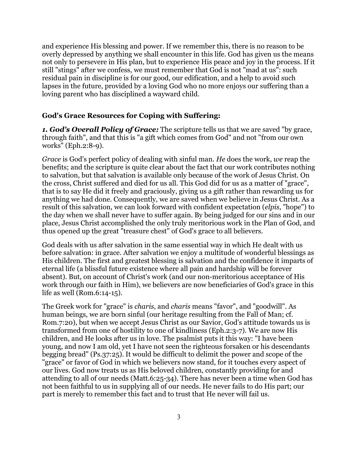and experience His blessing and power. If we remember this, there is no reason to be overly depressed by anything we shall encounter in this life. God has given us the means not only to persevere in His plan, but to experience His peace and joy in the process. If it still "stings" after we confess, we must remember that God is not "mad at us": such residual pain in discipline is for our good, our edification, and a help to avoid such lapses in the future, provided by a loving God who no more enjoys our suffering than a loving parent who has disciplined a wayward child.

#### **God's Grace Resources for Coping with Suffering:**

*1. God's Overall Policy of Grace:* The scripture tells us that we are saved "by grace, through faith", and that this is "a gift which comes from God" and not "from our own works" (Eph.2:8-9).

*Grace* is God's perfect policy of dealing with sinful man. *He* does the work, *we* reap the benefits; and the scripture is quite clear about the fact that our work contributes nothing to salvation, but that salvation is available only because of the work of Jesus Christ. On the cross, Christ suffered and died for us all. This God did for us as a matter of "grace", that is to say He did it freely and graciously, giving us a gift rather than rewarding us for anything we had done. Consequently, we are saved when we believe in Jesus Christ. As a result of this salvation, we can look forward with confident expectation (*elpis*, "hope") to the day when we shall never have to suffer again. By being judged for our sins and in our place, Jesus Christ accomplished the only truly meritorious work in the Plan of God, and thus opened up the great "treasure chest" of God's grace to all believers.

God deals with us after salvation in the same essential way in which He dealt with us before salvation: in grace. After salvation we enjoy a multitude of wonderful blessings as His children. The first and greatest blessing is salvation and the confidence it imparts of eternal life (a blissful future existence where all pain and hardship will be forever absent). But, on account of Christ's work (and our non-meritorious acceptance of His work through our faith in Him), we believers are now beneficiaries of God's grace in this life as well (Rom.6:14-15).

The Greek work for "grace" is *charis*, and *charis* means "favor", and "goodwill". As human beings, we are born sinful (our heritage resulting from the Fall of Man; cf. Rom.7:20), but when we accept Jesus Christ as our Savior, God's attitude towards us is transformed from one of hostility to one of kindliness (Eph.2:3-7). We are now His children, and He looks after us in love. The psalmist puts it this way: "I have been young, and now I am old, yet I have not seen the righteous forsaken or his descendants begging bread" (Ps.37:25). It would be difficult to delimit the power and scope of the "grace" or favor of God in which we believers now stand, for it touches every aspect of our lives. God now treats us as His beloved children, constantly providing for and attending to all of our needs (Matt.6:25-34). There has never been a time when God has not been faithful to us in supplying all of our needs. He never fails to do His part; our part is merely to remember this fact and to trust that He never will fail us.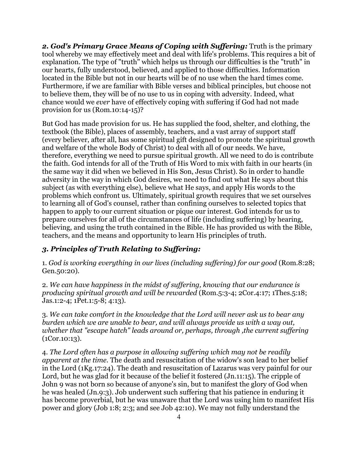*2. God's Primary Grace Means of Coping with Suffering:* Truth is the primary tool whereby we may effectively meet and deal with life's problems. This requires a bit of explanation. The type of "truth" which helps us through our difficulties is the "truth" in our hearts, fully understood, believed, and applied to those difficulties. Information located in the Bible but not in our hearts will be of no use when the hard times come. Furthermore, if we are familiar with Bible verses and biblical principles, but choose not to believe them, they will be of no use to us in coping with adversity. Indeed, what chance would we *ever* have of effectively coping with suffering if God had not made provision for us (Rom.10:14-15)?

But God has made provision for us. He has supplied the food, shelter, and clothing, the textbook (the Bible), places of assembly, teachers, and a vast array of support staff (every believer, after all, has some spiritual gift designed to promote the spiritual growth and welfare of the whole Body of Christ) to deal with all of our needs. We have, therefore, everything we need to pursue spiritual growth. All we need to do is contribute the faith. God intends for all of the Truth of His Word to mix with faith in our hearts (in the same way it did when we believed in His Son, Jesus Christ). So in order to handle adversity in the way in which God desires, we need to find out what He says about this subject (as with everything else), believe what He says, and apply His words to the problems which confront us. Ultimately, spiritual growth requires that we set ourselves to learning all of God's counsel, rather than confining ourselves to selected topics that happen to apply to our current situation or pique our interest. God intends for us to prepare ourselves for all of the circumstances of life (including suffering) by hearing, believing, and using the truth contained in the Bible. He has provided us with the Bible, teachers, and the means and opportunity to learn His principles of truth.

### *3. Principles of Truth Relating to Suffering:*

1. *God is working everything in our lives (including suffering) for our good* (Rom.8:28; Gen.50:20).

2. *We can have happiness in the midst of suffering, knowing that our endurance is producing spiritual growth and will be rewarded* (Rom.5:3-4; 2Cor.4:17; 1Thes.5:18; Jas.1:2-4; 1Pet.1:5-8; 4:13).

3. *We can take comfort in the knowledge that the Lord will never ask us to bear any burden which we are unable to bear, and will always provide us with a way out, whether that "escape hatch" leads around or, perhaps, through ,the current suffering* (1Cor.10:13).

4. *The Lord often has a purpose in allowing suffering which may not be readily apparent at the time.* The death and resuscitation of the widow's son lead to her belief in the Lord (1Kg.17:24). The death and resuscitation of Lazarus was very painful for our Lord, but he was glad for it because of the belief it fostered (Jn.11:15). The cripple of John 9 was not born so because of anyone's sin, but to manifest the glory of God when he was healed (Jn.9:3). Job underwent such suffering that his patience in enduring it has become proverbial, but he was unaware that the Lord was using him to manifest His power and glory (Job 1:8; 2:3; and see Job 42:10). We may not fully understand the